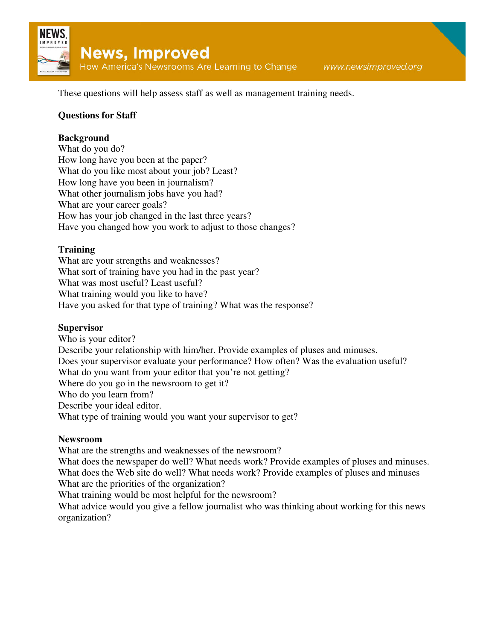

These questions will help assess staff as well as management training needs.

# **Questions for Staff**

## **Background**

What do you do? How long have you been at the paper? What do you like most about your job? Least? How long have you been in journalism? What other journalism jobs have you had? What are your career goals? How has your job changed in the last three years? Have you changed how you work to adjust to those changes?

## **Training**

What are your strengths and weaknesses? What sort of training have you had in the past year? What was most useful? Least useful? What training would you like to have? Have you asked for that type of training? What was the response?

#### **Supervisor**

Who is your editor? Describe your relationship with him/her. Provide examples of pluses and minuses. Does your supervisor evaluate your performance? How often? Was the evaluation useful? What do you want from your editor that you're not getting? Where do you go in the newsroom to get it? Who do you learn from? Describe your ideal editor. What type of training would you want your supervisor to get?

#### **Newsroom**

What are the strengths and weaknesses of the newsroom?

What does the newspaper do well? What needs work? Provide examples of pluses and minuses. What does the Web site do well? What needs work? Provide examples of pluses and minuses What are the priorities of the organization?

What training would be most helpful for the newsroom?

What advice would you give a fellow journalist who was thinking about working for this news organization?